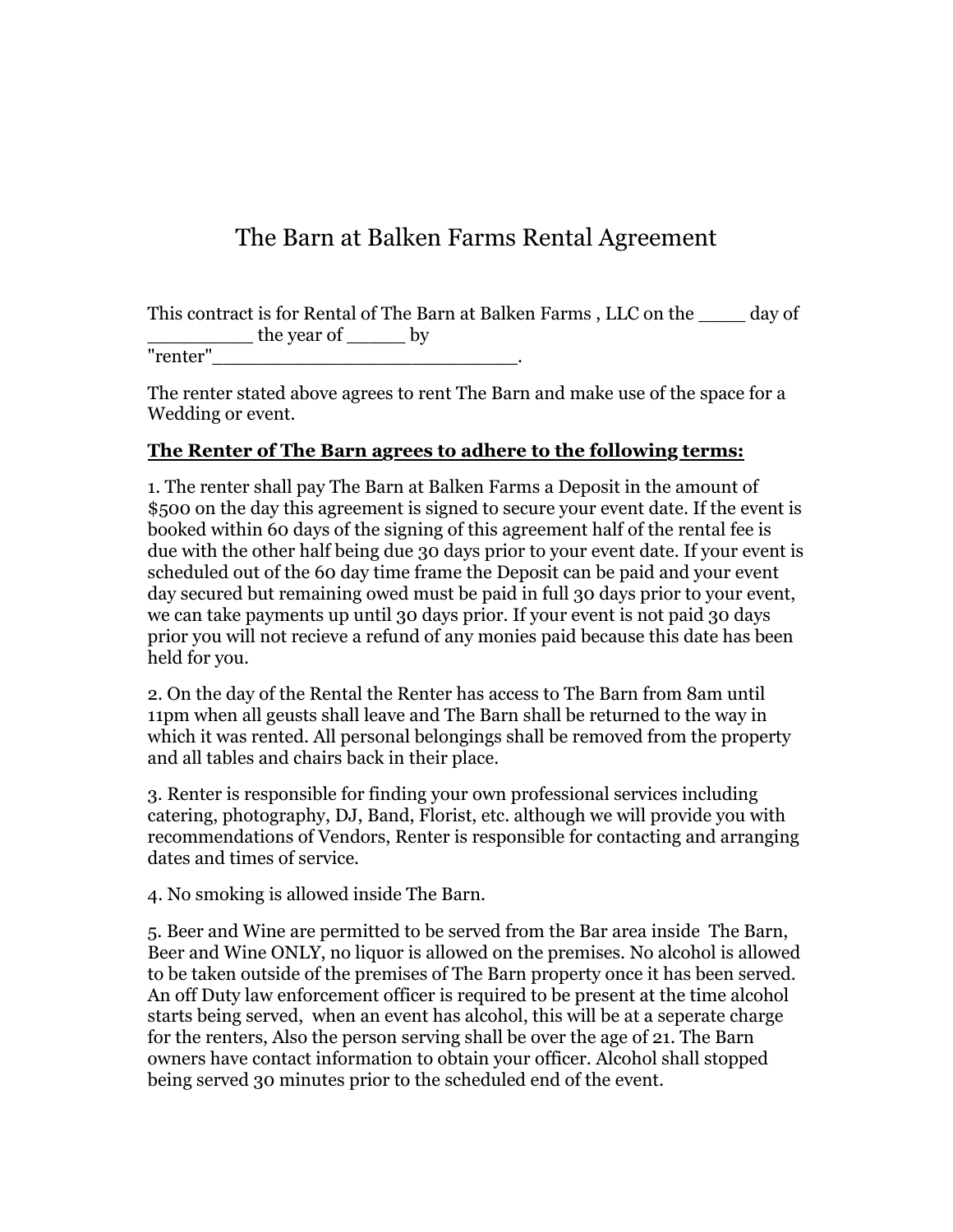## The Barn at Balken Farms Rental Agreement

This contract is for Rental of The Barn at Balken Farms , LLC on the \_\_\_\_ day of \_\_\_\_\_\_\_\_\_ the year of \_\_\_\_\_ by "renter"\_\_\_\_\_\_\_\_\_\_\_\_\_\_\_\_\_\_\_\_\_\_\_\_\_\_.

The renter stated above agrees to rent The Barn and make use of the space for a Wedding or event.

## **The Renter of The Barn agrees to adhere to the following terms:**

1. The renter shall pay The Barn at Balken Farms a Deposit in the amount of \$500 on the day this agreement is signed to secure your event date. If the event is booked within 60 days of the signing of this agreement half of the rental fee is due with the other half being due 30 days prior to your event date. If your event is scheduled out of the 60 day time frame the Deposit can be paid and your event day secured but remaining owed must be paid in full 30 days prior to your event, we can take payments up until 30 days prior. If your event is not paid 30 days prior you will not recieve a refund of any monies paid because this date has been held for you.

2. On the day of the Rental the Renter has access to The Barn from 8am until 11pm when all geusts shall leave and The Barn shall be returned to the way in which it was rented. All personal belongings shall be removed from the property and all tables and chairs back in their place.

3. Renter is responsible for finding your own professional services including catering, photography, DJ, Band, Florist, etc. although we will provide you with recommendations of Vendors, Renter is responsible for contacting and arranging dates and times of service.

4. No smoking is allowed inside The Barn.

5. Beer and Wine are permitted to be served from the Bar area inside The Barn, Beer and Wine ONLY, no liquor is allowed on the premises. No alcohol is allowed to be taken outside of the premises of The Barn property once it has been served. An off Duty law enforcement officer is required to be present at the time alcohol starts being served, when an event has alcohol, this will be at a seperate charge for the renters, Also the person serving shall be over the age of 21. The Barn owners have contact information to obtain your officer. Alcohol shall stopped being served 30 minutes prior to the scheduled end of the event.